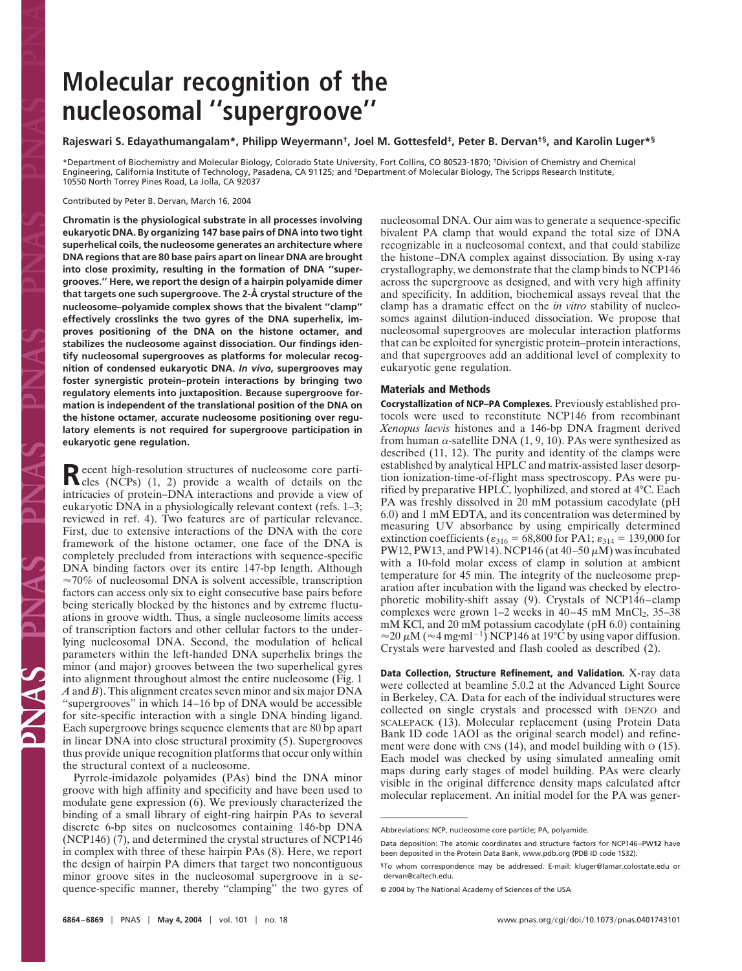# **Molecular recognition of the nucleosomal ''supergroove''**

# **Rajeswari S. Edayathumangalam\*, Philipp Weyermann†, Joel M. Gottesfeld‡, Peter B. Dervan†§, and Karolin Luger\*§**

\*Department of Biochemistry and Molecular Biology, Colorado State University, Fort Collins, CO 80523-1870; †Division of Chemistry and Chemical Engineering, California Institute of Technology, Pasadena, CA 91125; and ‡Department of Molecular Biology, The Scripps Research Institute, 10550 North Torrey Pines Road, La Jolla, CA 92037

Contributed by Peter B. Dervan, March 16, 2004

**Chromatin is the physiological substrate in all processes involving eukaryotic DNA. By organizing 147 base pairs of DNA into two tight superhelical coils, the nucleosome generates an architecture where DNA regions that are 80 base pairs apart on linear DNA are brought into close proximity, resulting in the formation of DNA ''supergrooves.'' Here, we report the design of a hairpin polyamide dimer that targets one such supergroove. The 2-Å crystal structure of the nucleosome–polyamide complex shows that the bivalent ''clamp'' effectively crosslinks the two gyres of the DNA superhelix, improves positioning of the DNA on the histone octamer, and stabilizes the nucleosome against dissociation. Our findings identify nucleosomal supergrooves as platforms for molecular recognition of condensed eukaryotic DNA.** *In vivo***, supergrooves may foster synergistic protein–protein interactions by bringing two regulatory elements into juxtaposition. Because supergroove formation is independent of the translational position of the DNA on the histone octamer, accurate nucleosome positioning over regulatory elements is not required for supergroove participation in eukaryotic gene regulation.**

**Recent high-resolution structures of nucleosome core parti-**<br>
cles (NCPs) (1, 2) provide a wealth of details on the intricacies of protein–DNA interactions and provide a view of eukaryotic DNA in a physiologically relevant context (refs. 1–3; reviewed in ref. 4). Two features are of particular relevance. First, due to extensive interactions of the DNA with the core framework of the histone octamer, one face of the DNA is completely precluded from interactions with sequence-specific DNA binding factors over its entire 147-bp length. Although  $\approx 70\%$  of nucleosomal DNA is solvent accessible, transcription factors can access only six to eight consecutive base pairs before being sterically blocked by the histones and by extreme fluctuations in groove width. Thus, a single nucleosome limits access of transcription factors and other cellular factors to the underlying nucleosomal DNA. Second, the modulation of helical parameters within the left-handed DNA superhelix brings the minor (and major) grooves between the two superhelical gyres into alignment throughout almost the entire nucleosome (Fig. 1 *A* and *B*). This alignment creates seven minor and six major DNA ''supergrooves'' in which 14–16 bp of DNA would be accessible for site-specific interaction with a single DNA binding ligand. Each supergroove brings sequence elements that are 80 bp apart in linear DNA into close structural proximity (5). Supergrooves thus provide unique recognition platforms that occur only within the structural context of a nucleosome.

Pyrrole-imidazole polyamides (PAs) bind the DNA minor groove with high affinity and specificity and have been used to modulate gene expression (6). We previously characterized the binding of a small library of eight-ring hairpin PAs to several discrete 6-bp sites on nucleosomes containing 146-bp DNA (NCP146) (7), and determined the crystal structures of NCP146 in complex with three of these hairpin PAs (8). Here, we report the design of hairpin PA dimers that target two noncontiguous minor groove sites in the nucleosomal supergroove in a sequence-specific manner, thereby ''clamping'' the two gyres of nucleosomal DNA. Our aim was to generate a sequence-specific bivalent PA clamp that would expand the total size of DNA recognizable in a nucleosomal context, and that could stabilize the histone–DNA complex against dissociation. By using x-ray crystallography, we demonstrate that the clamp binds to NCP146 across the supergroove as designed, and with very high affinity and specificity. In addition, biochemical assays reveal that the clamp has a dramatic effect on the *in vitro* stability of nucleosomes against dilution-induced dissociation. We propose that nucleosomal supergrooves are molecular interaction platforms that can be exploited for synergistic protein–protein interactions, and that supergrooves add an additional level of complexity to eukaryotic gene regulation.

## **Materials and Methods**

**Cocrystallization of NCP–PA Complexes.** Previously established protocols were used to reconstitute NCP146 from recombinant *Xenopus laevis* histones and a 146-bp DNA fragment derived from human  $\alpha$ -satellite DNA (1, 9, 10). PAs were synthesized as described (11, 12). The purity and identity of the clamps were established by analytical HPLC and matrix-assisted laser desorption ionization-time-of-flight mass spectroscopy. PAs were purified by preparative HPLC, lyophilized, and stored at 4°C. Each PA was freshly dissolved in 20 mM potassium cacodylate (pH 6.0) and 1 mM EDTA, and its concentration was determined by measuring UV absorbance by using empirically determined extinction coefficients ( $\varepsilon_{316} = 68,800$  for PA1;  $\varepsilon_{314} = 139,000$  for PW12, PW13, and PW14). NCP146 (at  $40-50 \mu M$ ) was incubated with a 10-fold molar excess of clamp in solution at ambient temperature for 45 min. The integrity of the nucleosome preparation after incubation with the ligand was checked by electrophoretic mobility-shift assay (9). Crystals of NCP146–clamp complexes were grown 1–2 weeks in  $40-45$  mM MnCl<sub>2</sub>, 35–38 mM KCl, and 20 mM potassium cacodylate (pH 6.0) containing  $\approx$ 20  $\mu$ M ( $\approx$ 4 mg·ml<sup>-1</sup>) NCP146 at 19°C by using vapor diffusion. Crystals were harvested and flash cooled as described (2).

**Data Collection, Structure Refinement, and Validation.** X-ray data were collected at beamline 5.0.2 at the Advanced Light Source in Berkeley, CA. Data for each of the individual structures were collected on single crystals and processed with DENZO and SCALEPACK (13). Molecular replacement (using Protein Data Bank ID code 1AOI as the original search model) and refinement were done with  $\text{CN}(14)$ , and model building with  $\text{o}(15)$ . Each model was checked by using simulated annealing omit maps during early stages of model building. PAs were clearly visible in the original difference density maps calculated after molecular replacement. An initial model for the PA was gener-

Abbreviations: NCP, nucleosome core particle; PA, polyamide.

Data deposition: The atomic coordinates and structure factors for NCP146–PW**12** have been deposited in the Protein Data Bank, www.pdb.org (PDB ID code 1S32).

<sup>§</sup>To whom correspondence may be addressed. E-mail: kluger@lamar.colostate.edu or dervan@caltech.edu.

<sup>© 2004</sup> by The National Academy of Sciences of the USA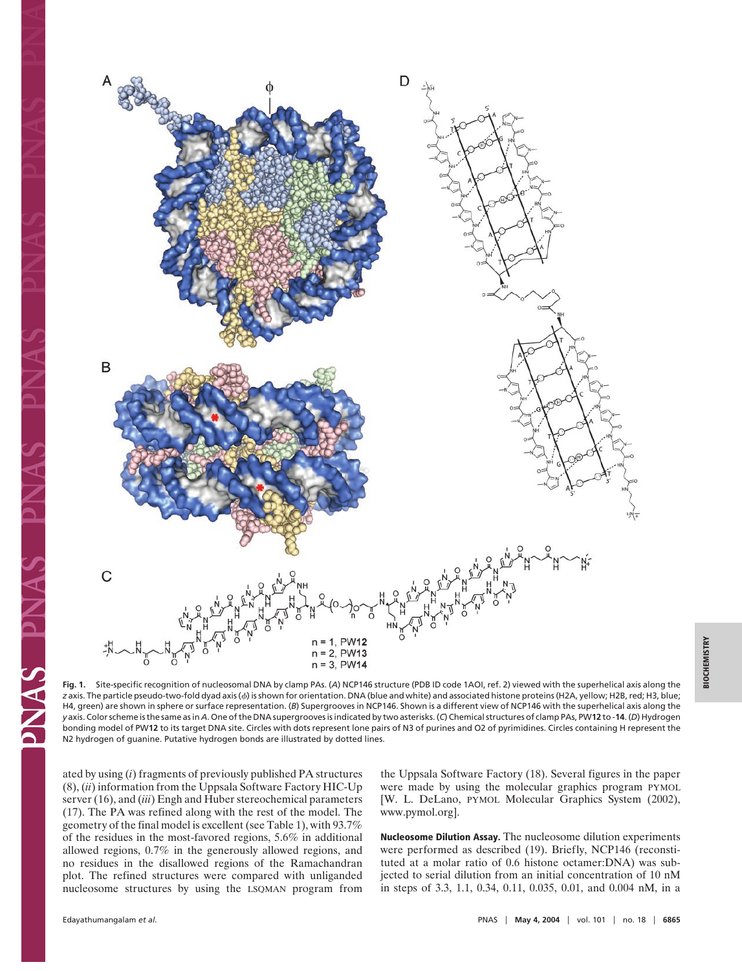

**BIOCHEMISTRY BIOCHEMISTRY**

**Fig. 1.** Site-specific recognition of nucleosomal DNA by clamp PAs. (*A*) NCP146 structure (PDB ID code 1AOI, ref. 2) viewed with the superhelical axis along the z axis. The particle pseudo-two-fold dyad axis ( $\phi$ ) is shown for orientation. DNA (blue and white) and associated histone proteins (H2A, yellow; H2B, red; H3, blue; H4, green) are shown in sphere or surface representation. (B) Supergrooves in NCP146. Shown is a different view of NCP146 with the superhelical axis along the *y* axis. Color scheme is the same as in *A*. One of the DNA supergrooves is indicated by two asterisks. (*C*) Chemical structures of clamp PAs, PW**12** to -**14**. (*D*) Hydrogen bonding model of PW**12** to its target DNA site. Circles with dots represent lone pairs of N3 of purines and O2 of pyrimidines. Circles containing H represent the N2 hydrogen of guanine. Putative hydrogen bonds are illustrated by dotted lines.

ated by using (*i*) fragments of previously published PA structures (8), (*ii*) information from the Uppsala Software Factory HIC-Up server (16), and (*iii*) Engh and Huber stereochemical parameters (17). The PA was refined along with the rest of the model. The geometry of the final model is excellent (see Table 1), with 93.7% of the residues in the most-favored regions, 5.6% in additional allowed regions, 0.7% in the generously allowed regions, and no residues in the disallowed regions of the Ramachandran plot. The refined structures were compared with unliganded nucleosome structures by using the LSQMAN program from the Uppsala Software Factory (18). Several figures in the paper were made by using the molecular graphics program PYMOL [W. L. DeLano, PYMOL Molecular Graphics System (2002), www.pymol.org].

**Nucleosome Dilution Assay.** The nucleosome dilution experiments were performed as described (19). Briefly, NCP146 (reconstituted at a molar ratio of 0.6 histone octamer:DNA) was subjected to serial dilution from an initial concentration of 10 nM in steps of 3.3, 1.1, 0.34, 0.11, 0.035, 0.01, and 0.004 nM, in a

PNAS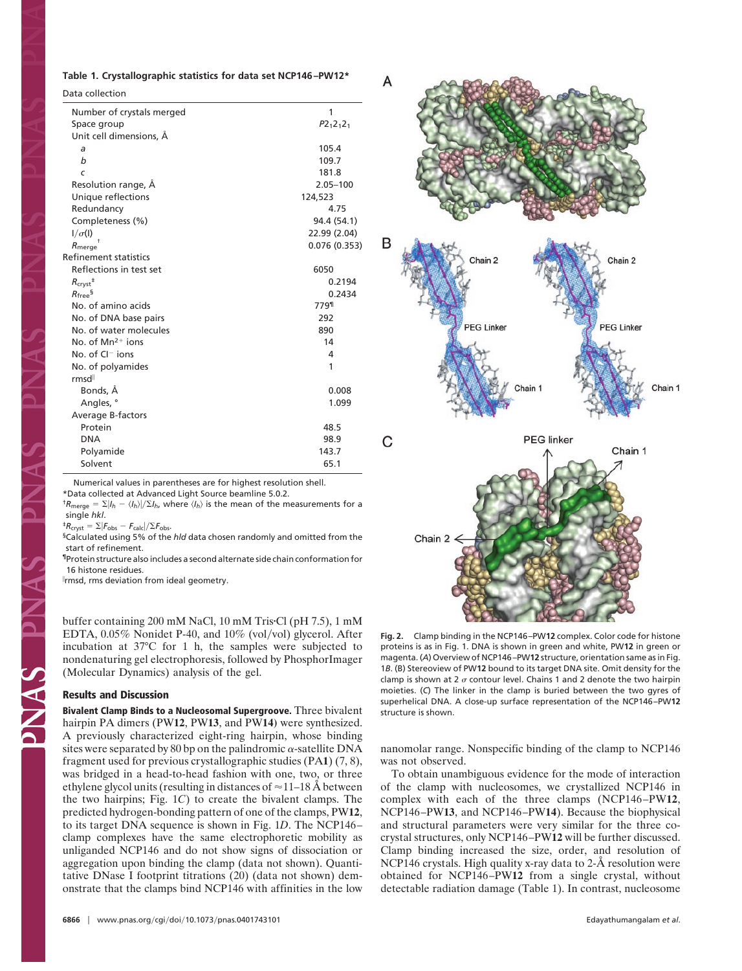#### **Table 1. Crystallographic statistics for data set NCP146–PW12\***

Data collection

| Number of crystals merged                        | 1            |
|--------------------------------------------------|--------------|
| Space group                                      | $P2_12_12_1$ |
| Unit cell dimensions, Å                          |              |
| a                                                | 105.4        |
| b                                                | 109.7        |
| C                                                | 181.8        |
| Resolution range, Å                              | 2.05-100     |
| Unique reflections                               | 124,523      |
| Redundancy                                       | 4.75         |
| Completeness (%)                                 | 94.4 (54.1)  |
| $1/\sigma(1)$                                    | 22.99 (2.04) |
| $R_{\text{merge}}$                               | 0.076(0.353) |
| Refinement statistics                            |              |
| Reflections in test set                          | 6050         |
| $R_{\text{crvst}}$ <sup><math>\ddag</math></sup> | 0.2194       |
| $R_{\text{freq}}$ §                              | 0.2434       |
| No. of amino acids                               | 779¶         |
| No. of DNA base pairs                            | 292          |
| No. of water molecules                           | 890          |
| No. of $Mn^{2+}$ ions                            | 14           |
| No. of $Cl^-$ ions                               | 4            |
| No. of polyamides                                | 1            |
| rmsd <sup>ll</sup>                               |              |
| Bonds, Å                                         | 0.008        |
| Angles, °                                        | 1.099        |
| Average B-factors                                |              |
| Protein                                          | 48.5         |
| <b>DNA</b>                                       | 98.9         |
| Polyamide                                        | 143.7        |
| Solvent                                          | 65.1         |

Numerical values in parentheses are for highest resolution shell. \*Data collected at Advanced Light Source beamline 5.0.2.

<sup>†</sup> $R_{\text{merge}} = \sum |I_h - \langle I_h \rangle| / \sum I_h$ , where  $\langle I_h \rangle$  is the mean of the measurements for a single *hkl*.

 ${}^{4}R_{\text{cryst}} = \Sigma |F_{\text{obs}} - F_{\text{calc}}| / \Sigma F_{\text{obs}}.$ 

§Calculated using 5% of the *hld* data chosen randomly and omitted from the start of refinement.

¶Protein structure also includes a second alternate side chain conformation for 16 histone residues.

- rmsd, rms deviation from ideal geometry.

buffer containing 200 mM NaCl, 10 mM Tris Cl (pH 7.5), 1 mM EDTA, 0.05% Nonidet P-40, and 10% (vol/vol) glycerol. After incubation at 37°C for 1 h, the samples were subjected to nondenaturing gel electrophoresis, followed by PhosphorImager (Molecular Dynamics) analysis of the gel.

#### **Results and Discussion**

**CANAS** 

**Bivalent Clamp Binds to a Nucleosomal Supergroove.** Three bivalent hairpin PA dimers (PW**12**, PW**13**, and PW**14)** were synthesized. A previously characterized eight-ring hairpin, whose binding sites were separated by 80 bp on the palindromic  $\alpha$ -satellite DNA fragment used for previous crystallographic studies (PA**1**) (7, 8), was bridged in a head-to-head fashion with one, two, or three ethylene glycol units (resulting in distances of  $\approx$  11–18 Å between the two hairpins; Fig. 1*C*) to create the bivalent clamps. The predicted hydrogen-bonding pattern of one of the clamps, PW**12**, to its target DNA sequence is shown in Fig. 1*D*. The NCP146– clamp complexes have the same electrophoretic mobility as unliganded NCP146 and do not show signs of dissociation or aggregation upon binding the clamp (data not shown). Quantitative DNase I footprint titrations (20) (data not shown) demonstrate that the clamps bind NCP146 with affinities in the low



**Fig. 2.** Clamp binding in the NCP146–PW**12** complex. Color code for histone proteins is as in Fig. 1. DNA is shown in green and white, PW**12** in green or magenta. (*A*) Overview of NCP146–PW**12** structure, orientation same as in Fig. 1*B*. (B) Stereoview of PW**12** bound to its target DNA site. Omit density for the clamp is shown at 2  $\sigma$  contour level. Chains 1 and 2 denote the two hairpin moieties. (*C*) The linker in the clamp is buried between the two gyres of superhelical DNA. A close-up surface representation of the NCP146–PW**12** structure is shown.

nanomolar range. Nonspecific binding of the clamp to NCP146 was not observed.

To obtain unambiguous evidence for the mode of interaction of the clamp with nucleosomes, we crystallized NCP146 in complex with each of the three clamps (NCP146–PW**12**, NCP146–PW**13**, and NCP146–PW**14**). Because the biophysical and structural parameters were very similar for the three cocrystal structures, only NCP146–PW**12** will be further discussed. Clamp binding increased the size, order, and resolution of NCP146 crystals. High quality x-ray data to 2-Å resolution were obtained for NCP146–PW**12** from a single crystal, without detectable radiation damage (Table 1). In contrast, nucleosome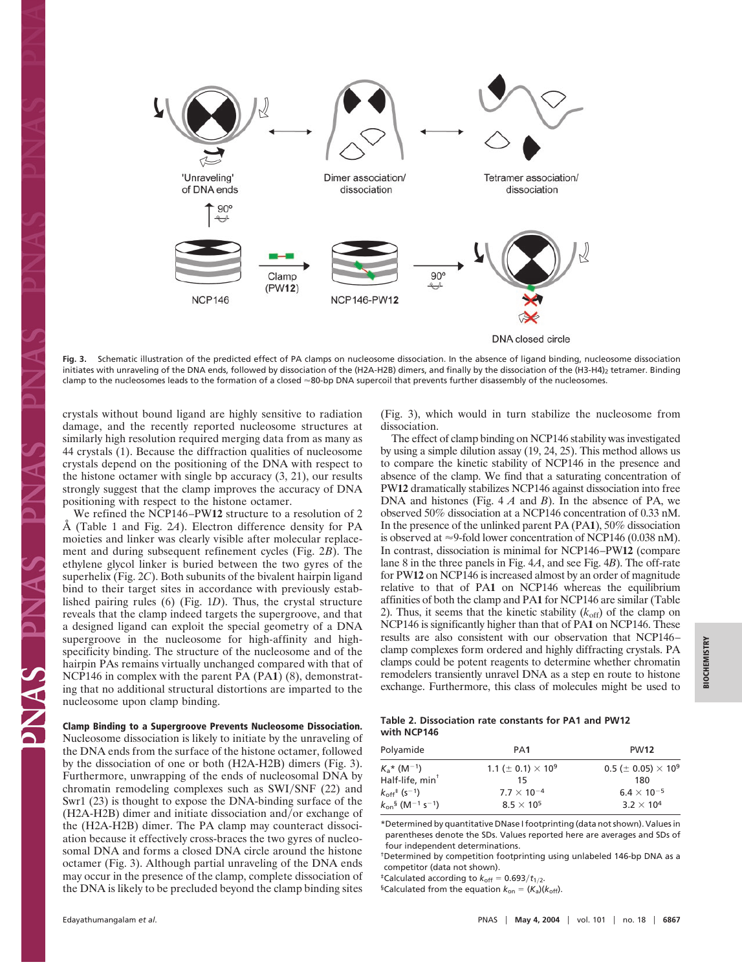

**Fig. 3.** Schematic illustration of the predicted effect of PA clamps on nucleosome dissociation. In the absence of ligand binding, nucleosome dissociation initiates with unraveling of the DNA ends, followed by dissociation of the (H2A-H2B) dimers, and finally by the dissociation of the (H3-H4)<sub>2</sub> tetramer. Binding clamp to the nucleosomes leads to the formation of a closed  $\approx$ 80-bp DNA supercoil that prevents further disassembly of the nucleosomes.

crystals without bound ligand are highly sensitive to radiation damage, and the recently reported nucleosome structures at similarly high resolution required merging data from as many as 44 crystals (1). Because the diffraction qualities of nucleosome crystals depend on the positioning of the DNA with respect to the histone octamer with single bp accuracy (3, 21), our results strongly suggest that the clamp improves the accuracy of DNA positioning with respect to the histone octamer.

We refined the NCP146–PW**12** structure to a resolution of 2 Å (Table 1 and Fig. 2*A*). Electron difference density for PA moieties and linker was clearly visible after molecular replacement and during subsequent refinement cycles (Fig. 2*B*). The ethylene glycol linker is buried between the two gyres of the superhelix (Fig. 2*C*). Both subunits of the bivalent hairpin ligand bind to their target sites in accordance with previously established pairing rules (6) (Fig. 1*D*). Thus, the crystal structure reveals that the clamp indeed targets the supergroove, and that a designed ligand can exploit the special geometry of a DNA supergroove in the nucleosome for high-affinity and highspecificity binding. The structure of the nucleosome and of the hairpin PAs remains virtually unchanged compared with that of NCP146 in complex with the parent PA (PA**1**) (8), demonstrating that no additional structural distortions are imparted to the nucleosome upon clamp binding.

# **Clamp Binding to a Supergroove Prevents Nucleosome Dissociation.**

Nucleosome dissociation is likely to initiate by the unraveling of the DNA ends from the surface of the histone octamer, followed by the dissociation of one or both (H2A-H2B) dimers (Fig. 3). Furthermore, unwrapping of the ends of nucleosomal DNA by chromatin remodeling complexes such as SWI/SNF (22) and Swr1 (23) is thought to expose the DNA-binding surface of the  $(H2A-H2B)$  dimer and initiate dissociation and/or exchange of the (H2A-H2B) dimer. The PA clamp may counteract dissociation because it effectively cross-braces the two gyres of nucleosomal DNA and forms a closed DNA circle around the histone octamer (Fig. 3). Although partial unraveling of the DNA ends may occur in the presence of the clamp, complete dissociation of the DNA is likely to be precluded beyond the clamp binding sites (Fig. 3), which would in turn stabilize the nucleosome from dissociation.

The effect of clamp binding on NCP146 stability was investigated by using a simple dilution assay (19, 24, 25). This method allows us to compare the kinetic stability of NCP146 in the presence and absence of the clamp. We find that a saturating concentration of PW**12** dramatically stabilizes NCP146 against dissociation into free DNA and histones (Fig. 4 *A* and *B*). In the absence of PA, we observed 50% dissociation at a NCP146 concentration of 0.33 nM. In the presence of the unlinked parent PA (PA**1**), 50% dissociation is observed at  $\approx$ 9-fold lower concentration of NCP146 (0.038 nM). In contrast, dissociation is minimal for NCP146–PW**12** (compare lane 8 in the three panels in Fig. 4*A*, and see Fig. 4*B*). The off-rate for PW**12** on NCP146 is increased almost by an order of magnitude relative to that of PA**1** on NCP146 whereas the equilibrium affinities of both the clamp and PA**1** for NCP146 are similar (Table 2). Thus, it seems that the kinetic stability  $(k_{\text{off}})$  of the clamp on NCP146 is significantly higher than that of PA**1** on NCP146. These results are also consistent with our observation that NCP146– clamp complexes form ordered and highly diffracting crystals. PA clamps could be potent reagents to determine whether chromatin remodelers transiently unravel DNA as a step en route to histone exchange. Furthermore, this class of molecules might be used to

### **Table 2. Dissociation rate constants for PA1 and PW12 with NCP146**

| Polyamide                                            | PA <sub>1</sub>                           | <b>PW12</b>                                  |
|------------------------------------------------------|-------------------------------------------|----------------------------------------------|
| $K_{a}$ * (M <sup>-1</sup> )                         | 1.1 ( $\pm$ 0.1) $\times$ 10 <sup>9</sup> | $0.5$ ( $\pm$ 0.05) $\times$ 10 <sup>9</sup> |
| Half-life, $min^{\dagger}$                           | 15                                        | 180                                          |
| $k_{\text{off}}$ <sup>+</sup> (s <sup>-1</sup> )     | $7.7 \times 10^{-4}$                      | $6.4 \times 10^{-5}$                         |
| $k_{\text{on}}$ § (M <sup>-1</sup> s <sup>-1</sup> ) | $8.5 \times 10^{5}$                       | $3.2 \times 10^{4}$                          |
|                                                      |                                           |                                              |

\*Determined by quantitative DNase I footprinting (data not shown). Values in parentheses denote the SDs. Values reported here are averages and SDs of four independent determinations.

†Determined by competition footprinting using unlabeled 146-bp DNA as a competitor (data not shown).

<sup>‡</sup>Calculated according to  $k_{off} = 0.693/t_{1/2}$ .

 ${}^{\$}$ Calculated from the equation  $k_{on} = (K_a)(k_{off})$ .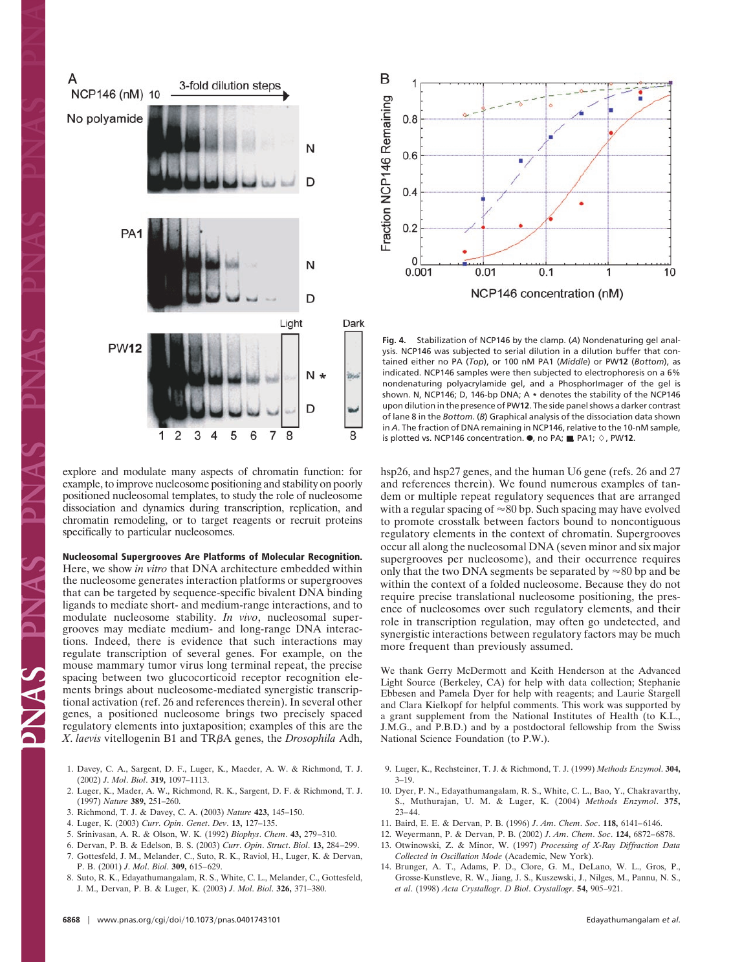

explore and modulate many aspects of chromatin function: for example, to improve nucleosome positioning and stability on poorly positioned nucleosomal templates, to study the role of nucleosome dissociation and dynamics during transcription, replication, and chromatin remodeling, or to target reagents or recruit proteins specifically to particular nucleosomes.

## **Nucleosomal Supergrooves Are Platforms of Molecular Recognition.**

Here, we show *in vitro* that DNA architecture embedded within the nucleosome generates interaction platforms or supergrooves that can be targeted by sequence-specific bivalent DNA binding ligands to mediate short- and medium-range interactions, and to modulate nucleosome stability. *In vivo*, nucleosomal supergrooves may mediate medium- and long-range DNA interactions. Indeed, there is evidence that such interactions may regulate transcription of several genes. For example, on the mouse mammary tumor virus long terminal repeat, the precise spacing between two glucocorticoid receptor recognition elements brings about nucleosome-mediated synergistic transcriptional activation (ref. 26 and references therein). In several other genes, a positioned nucleosome brings two precisely spaced regulatory elements into juxtaposition; examples of this are the *X*. *laevis* vitellogenin B1 and TRA genes, the *Drosophila* Adh,

- 1. Davey, C. A., Sargent, D. F., Luger, K., Maeder, A. W. & Richmond, T. J. (2002) *J*. *Mol*. *Biol*. **319,** 1097–1113.
- 2. Luger, K., Mader, A. W., Richmond, R. K., Sargent, D. F. & Richmond, T. J. (1997) *Nature* **389,** 251–260.
- 3. Richmond, T. J. & Davey, C. A. (2003) *Nature* **423,** 145–150.
- 4. Luger, K. (2003) *Curr*. *Opin*. *Genet*. *Dev*. **13,** 127–135.
- 5. Srinivasan, A. R. & Olson, W. K. (1992) *Biophys*. *Chem*. **43,** 279–310.
- 6. Dervan, P. B. & Edelson, B. S. (2003) *Curr*. *Opin*. *Struct*. *Biol*. **13,** 284–299.
- 7. Gottesfeld, J. M., Melander, C., Suto, R. K., Raviol, H., Luger, K. & Dervan,
- P. B. (2001) *J*. *Mol*. *Biol*. **309,** 615–629. 8. Suto, R. K., Edayathumangalam, R. S., White, C. L., Melander, C., Gottesfeld, J. M., Dervan, P. B. & Luger, K. (2003) *J*. *Mol*. *Biol*. **326,** 371–380.

B Fraction NCP146 Remaining  $0.8$  $0.6$  $0.4$  $0.2$  $\Omega$  $0.01$  $0.1$ 1 10 0.001 NCP146 concentration (nM)

**Fig. 4.** Stabilization of NCP146 by the clamp. (*A*) Nondenaturing gel analysis. NCP146 was subjected to serial dilution in a dilution buffer that contained either no PA (*Top*), or 100 nM PA1 (*Middle*) or PW**12** (*Bottom*), as indicated. NCP146 samples were then subjected to electrophoresis on a 6% nondenaturing polyacrylamide gel, and a PhosphorImager of the gel is shown. N, NCP146; D, 146-bp DNA; A **\*** denotes the stability of the NCP146 upon dilution in the presence of PW**12**. The side panel shows a darker contrast of lane 8 in the *Bottom*. (*B*) Graphical analysis of the dissociation data shown in *A*. The fraction of DNA remaining in NCP146, relative to the 10-nM sample, is plotted vs. NCP146 concentration.  $\bullet$ , no PA;  $\blacksquare$ , PA1;  $\diamond$ , PW12.

hsp26, and hsp27 genes, and the human U6 gene (refs. 26 and 27 and references therein). We found numerous examples of tandem or multiple repeat regulatory sequences that are arranged with a regular spacing of  $\approx$  80 bp. Such spacing may have evolved to promote crosstalk between factors bound to noncontiguous regulatory elements in the context of chromatin. Supergrooves occur all along the nucleosomal DNA (seven minor and six major supergrooves per nucleosome), and their occurrence requires only that the two DNA segments be separated by  $\approx 80$  bp and be within the context of a folded nucleosome. Because they do not require precise translational nucleosome positioning, the presence of nucleosomes over such regulatory elements, and their role in transcription regulation, may often go undetected, and synergistic interactions between regulatory factors may be much more frequent than previously assumed.

We thank Gerry McDermott and Keith Henderson at the Advanced Light Source (Berkeley, CA) for help with data collection; Stephanie Ebbesen and Pamela Dyer for help with reagents; and Laurie Stargell and Clara Kielkopf for helpful comments. This work was supported by a grant supplement from the National Institutes of Health (to K.L., J.M.G., and P.B.D.) and by a postdoctoral fellowship from the Swiss National Science Foundation (to P.W.).

- 9. Luger, K., Rechsteiner, T. J. & Richmond, T. J. (1999) *Methods Enzymol*. **304,** 3–19.
- 10. Dyer, P. N., Edayathumangalam, R. S., White, C. L., Bao, Y., Chakravarthy, S., Muthurajan, U. M. & Luger, K. (2004) *Methods Enzymol*. **375,** 23–44.
- 11. Baird, E. E. & Dervan, P. B. (1996) *J*. *Am*. *Chem*. *Soc*. **118,** 6141–6146.
- 12. Weyermann, P. & Dervan, P. B. (2002) *J*. *Am*. *Chem*. *Soc*. **124,** 6872–6878.
- 13. Otwinowski, Z. & Minor, W. (1997) *Processing of X-Ray Diffraction Data Collected in Oscillation Mode* (Academic, New York).
- 14. Brunger, A. T., Adams, P. D., Clore, G. M., DeLano, W. L., Gros, P., Grosse-Kunstleve, R. W., Jiang, J. S., Kuszewski, J., Nilges, M., Pannu, N. S., *et al*. (1998) *Acta Crystallogr*. *D Biol*. *Crystallogr*. **54,** 905–921.